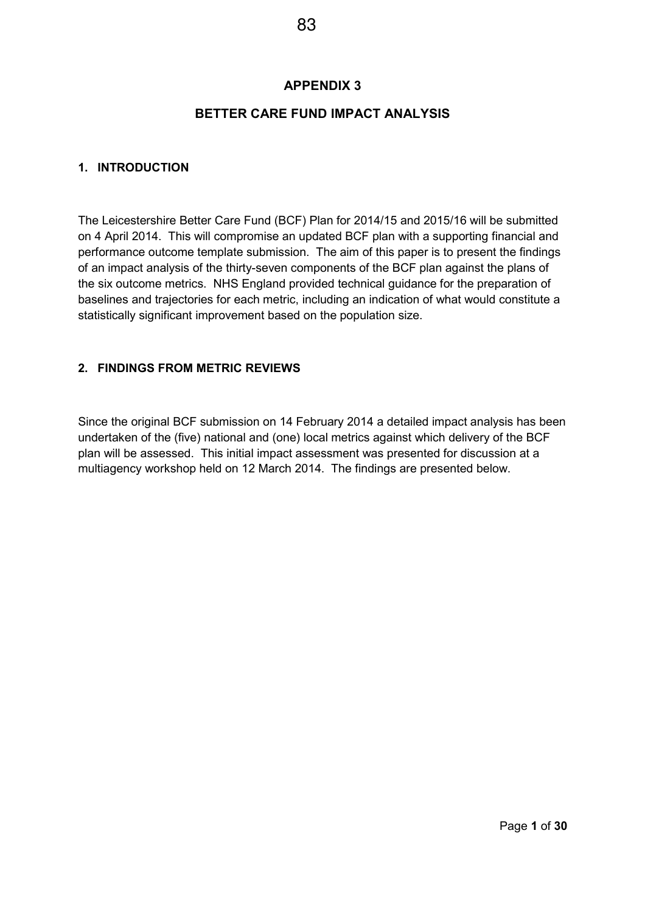#### **BETTER CARE FUND IMPACT ANALYSIS**

#### **1. INTRODUCTION**

The Leicestershire Better Care Fund (BCF) Plan for 2014/15 and 2015/16 will be submitted on 4 April 2014. This will compromise an updated BCF plan with a supporting financial and performance outcome template submission. The aim of this paper is to present the findings of an impact analysis of the thirty-seven components of the BCF plan against the plans of the six outcome metrics. NHS England provided technical guidance for the preparation of baselines and trajectories for each metric, including an indication of what would constitute a statistically significant improvement based on the population size.

#### **2. FINDINGS FROM METRIC REVIEWS**

Since the original BCF submission on 14 February 2014 a detailed impact analysis has been undertaken of the (five) national and (one) local metrics against which delivery of the BCF plan will be assessed. This initial impact assessment was presented for discussion at a multiagency workshop held on 12 March 2014. The findings are presented below.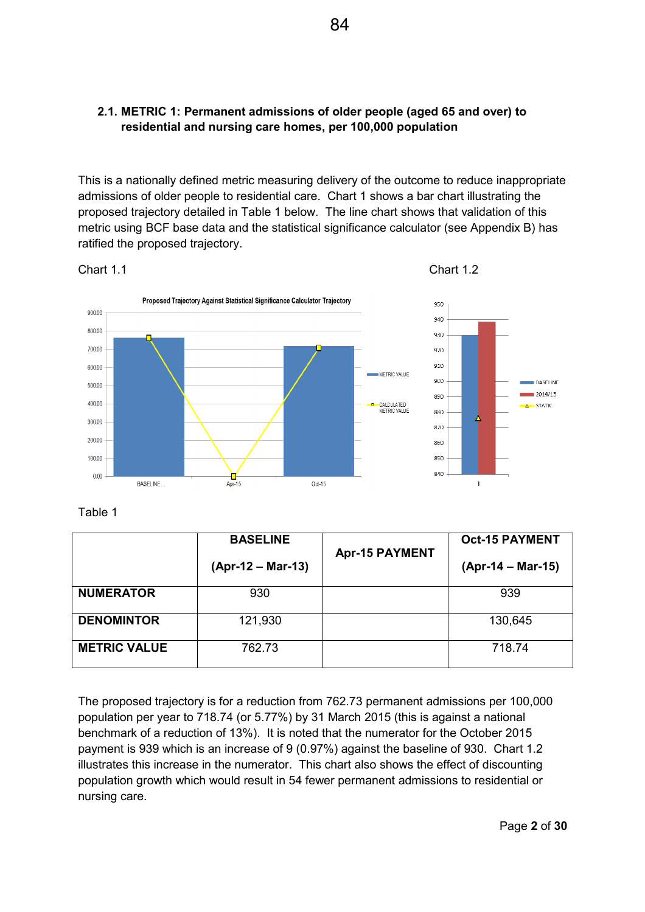#### **2.1. METRIC 1: Permanent admissions of older people (aged 65 and over) to residential and nursing care homes, per 100,000 population**

This is a nationally defined metric measuring delivery of the outcome to reduce inappropriate admissions of older people to residential care. Chart 1 shows a bar chart illustrating the proposed trajectory detailed in Table 1 below. The line chart shows that validation of this metric using BCF base data and the statistical significance calculator (see Appendix B) has ratified the proposed trajectory.





Table 1

|                     | <b>BASELINE</b>     |                       | <b>Oct-15 PAYMENT</b> |
|---------------------|---------------------|-----------------------|-----------------------|
|                     | $(Apr-12 - Mar-13)$ | <b>Apr-15 PAYMENT</b> | (Apr-14 – Mar-15)     |
| <b>NUMERATOR</b>    | 930                 |                       | 939                   |
| <b>DENOMINTOR</b>   | 121,930             |                       | 130,645               |
| <b>METRIC VALUE</b> | 762.73              |                       | 718.74                |

The proposed trajectory is for a reduction from 762.73 permanent admissions per 100,000 population per year to 718.74 (or 5.77%) by 31 March 2015 (this is against a national benchmark of a reduction of 13%). It is noted that the numerator for the October 2015 payment is 939 which is an increase of 9 (0.97%) against the baseline of 930. Chart 1.2 illustrates this increase in the numerator. This chart also shows the effect of discounting population growth which would result in 54 fewer permanent admissions to residential or nursing care.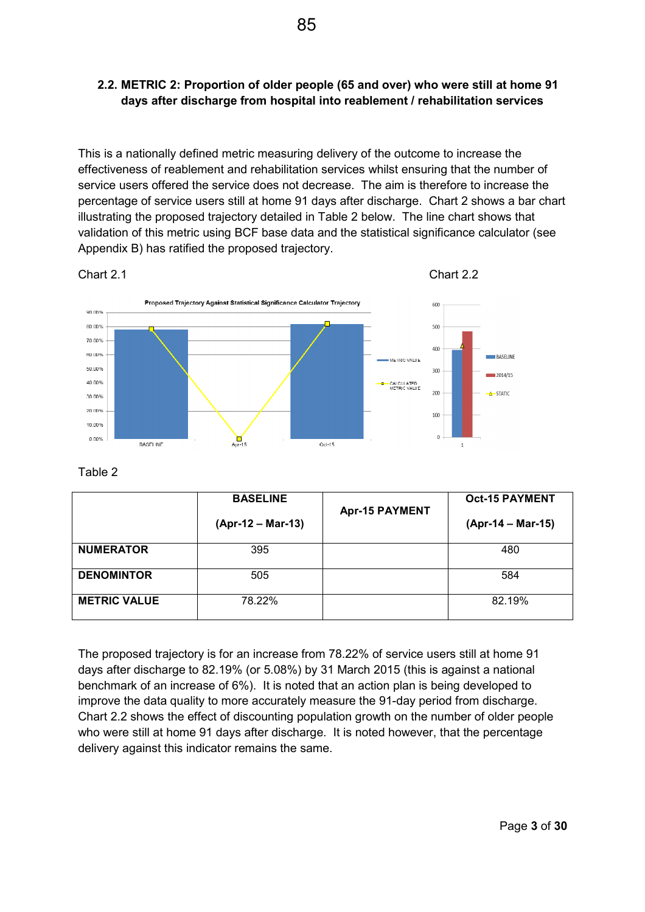#### **2.2. METRIC 2: Proportion of older people (65 and over) who were still at home 91 days after discharge from hospital into reablement / rehabilitation services**

This is a nationally defined metric measuring delivery of the outcome to increase the effectiveness of reablement and rehabilitation services whilst ensuring that the number of service users offered the service does not decrease. The aim is therefore to increase the percentage of service users still at home 91 days after discharge. Chart 2 shows a bar chart illustrating the proposed trajectory detailed in Table 2 below. The line chart shows that validation of this metric using BCF base data and the statistical significance calculator (see Appendix B) has ratified the proposed trajectory.



Table 2

|                     | <b>BASELINE</b>                            |  | <b>Oct-15 PAYMENT</b> |
|---------------------|--------------------------------------------|--|-----------------------|
|                     | <b>Apr-15 PAYMENT</b><br>(Apr-12 – Mar-13) |  | (Apr-14 – Mar-15)     |
| <b>NUMERATOR</b>    | 395                                        |  | 480                   |
| <b>DENOMINTOR</b>   | 505                                        |  | 584                   |
| <b>METRIC VALUE</b> | 78.22%                                     |  | 82.19%                |

The proposed trajectory is for an increase from 78.22% of service users still at home 91 days after discharge to 82.19% (or 5.08%) by 31 March 2015 (this is against a national benchmark of an increase of 6%). It is noted that an action plan is being developed to improve the data quality to more accurately measure the 91-day period from discharge. Chart 2.2 shows the effect of discounting population growth on the number of older people who were still at home 91 days after discharge. It is noted however, that the percentage delivery against this indicator remains the same.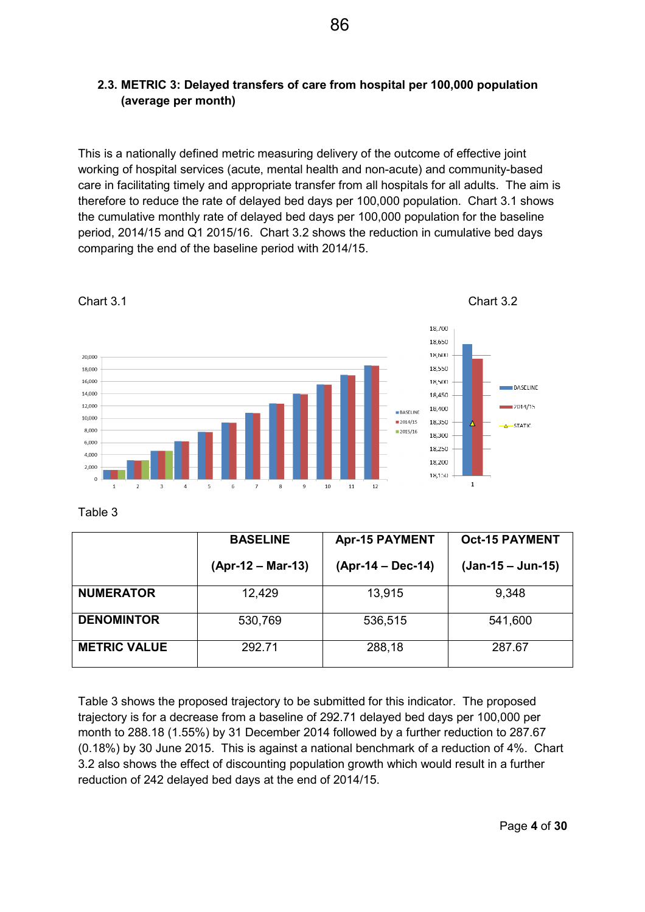#### **2.3. METRIC 3: Delayed transfers of care from hospital per 100,000 population (average per month)**

This is a nationally defined metric measuring delivery of the outcome of effective joint working of hospital services (acute, mental health and non-acute) and community-based care in facilitating timely and appropriate transfer from all hospitals for all adults. The aim is therefore to reduce the rate of delayed bed days per 100,000 population. Chart 3.1 shows the cumulative monthly rate of delayed bed days per 100,000 population for the baseline period, 2014/15 and Q1 2015/16. Chart 3.2 shows the reduction in cumulative bed days comparing the end of the baseline period with 2014/15.



Chart 3.1 Chart 3.2



Table 3

|                     | <b>BASELINE</b>     | <b>Apr-15 PAYMENT</b> | <b>Oct-15 PAYMENT</b> |
|---------------------|---------------------|-----------------------|-----------------------|
|                     | $(Apr-12 - Mar-13)$ | (Apr-14 – Dec-14)     | $(Jan-15 - Jun-15)$   |
| <b>NUMERATOR</b>    | 12,429              | 13,915                | 9,348                 |
| <b>DENOMINTOR</b>   | 530,769             | 536,515               | 541,600               |
| <b>METRIC VALUE</b> | 292.71              | 288,18                | 287.67                |

Table 3 shows the proposed trajectory to be submitted for this indicator. The proposed trajectory is for a decrease from a baseline of 292.71 delayed bed days per 100,000 per month to 288.18 (1.55%) by 31 December 2014 followed by a further reduction to 287.67 (0.18%) by 30 June 2015. This is against a national benchmark of a reduction of 4%. Chart 3.2 also shows the effect of discounting population growth which would result in a further reduction of 242 delayed bed days at the end of 2014/15.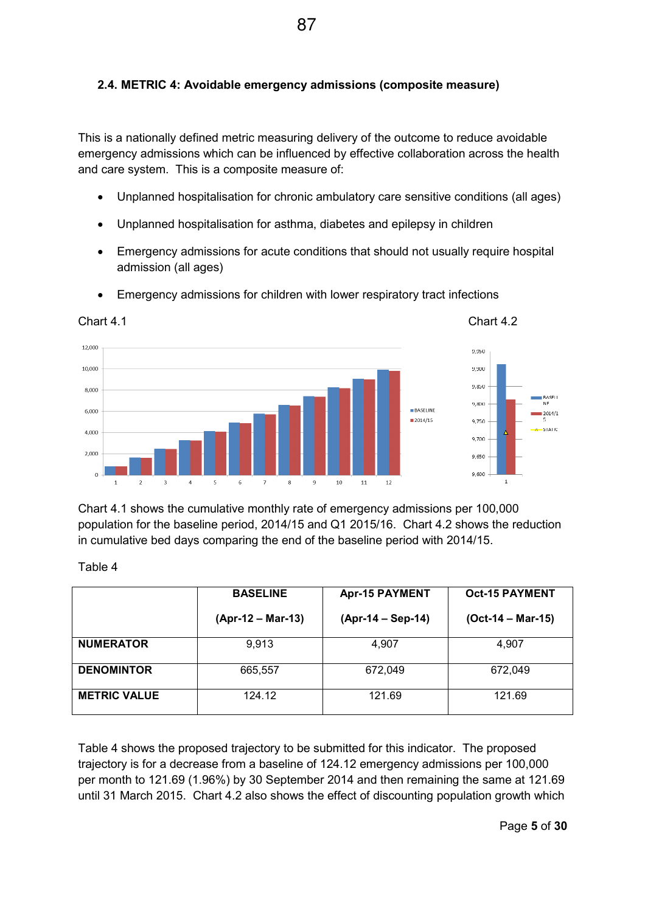#### **2.4. METRIC 4: Avoidable emergency admissions (composite measure)**

This is a nationally defined metric measuring delivery of the outcome to reduce avoidable emergency admissions which can be influenced by effective collaboration across the health and care system. This is a composite measure of:

- Unplanned hospitalisation for chronic ambulatory care sensitive conditions (all ages)
- Unplanned hospitalisation for asthma, diabetes and epilepsy in children
- Emergency admissions for acute conditions that should not usually require hospital admission (all ages)



• Emergency admissions for children with lower respiratory tract infections

Chart 4.1 shows the cumulative monthly rate of emergency admissions per 100,000 population for the baseline period, 2014/15 and Q1 2015/16. Chart 4.2 shows the reduction in cumulative bed days comparing the end of the baseline period with 2014/15.

Table 4

|                     | <b>BASELINE</b>     | <b>Apr-15 PAYMENT</b> | <b>Oct-15 PAYMENT</b> |
|---------------------|---------------------|-----------------------|-----------------------|
|                     | $(Apr-12 - Mar-13)$ | $(Apr-14 - Sep-14)$   | $(Oct-14 - Mar-15)$   |
| <b>NUMERATOR</b>    | 9,913               | 4,907                 | 4,907                 |
| <b>DENOMINTOR</b>   | 665,557             | 672,049               | 672,049               |
| <b>METRIC VALUE</b> | 124.12              | 121.69                | 121.69                |

Table 4 shows the proposed trajectory to be submitted for this indicator. The proposed trajectory is for a decrease from a baseline of 124.12 emergency admissions per 100,000 per month to 121.69 (1.96%) by 30 September 2014 and then remaining the same at 121.69 until 31 March 2015. Chart 4.2 also shows the effect of discounting population growth which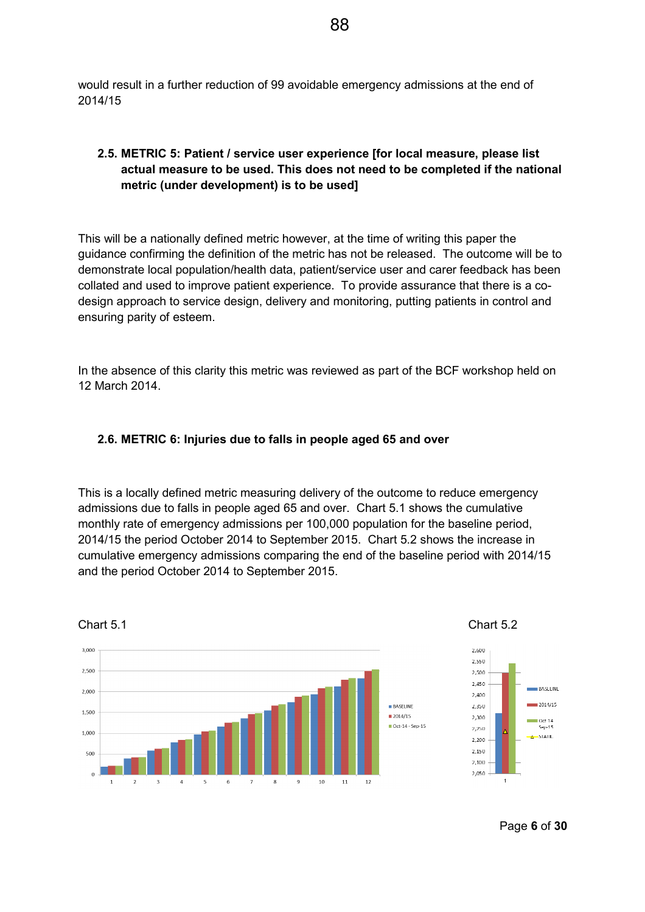would result in a further reduction of 99 avoidable emergency admissions at the end of 2014/15

#### **2.5. METRIC 5: Patient / service user experience [for local measure, please list actual measure to be used. This does not need to be completed if the national metric (under development) is to be used]**

This will be a nationally defined metric however, at the time of writing this paper the guidance confirming the definition of the metric has not be released. The outcome will be to demonstrate local population/health data, patient/service user and carer feedback has been collated and used to improve patient experience. To provide assurance that there is a codesign approach to service design, delivery and monitoring, putting patients in control and ensuring parity of esteem.

In the absence of this clarity this metric was reviewed as part of the BCF workshop held on 12 March 2014.

#### **2.6. METRIC 6: Injuries due to falls in people aged 65 and over**

This is a locally defined metric measuring delivery of the outcome to reduce emergency admissions due to falls in people aged 65 and over. Chart 5.1 shows the cumulative monthly rate of emergency admissions per 100,000 population for the baseline period, 2014/15 the period October 2014 to September 2015. Chart 5.2 shows the increase in cumulative emergency admissions comparing the end of the baseline period with 2014/15 and the period October 2014 to September 2015.



Page **6** of **30**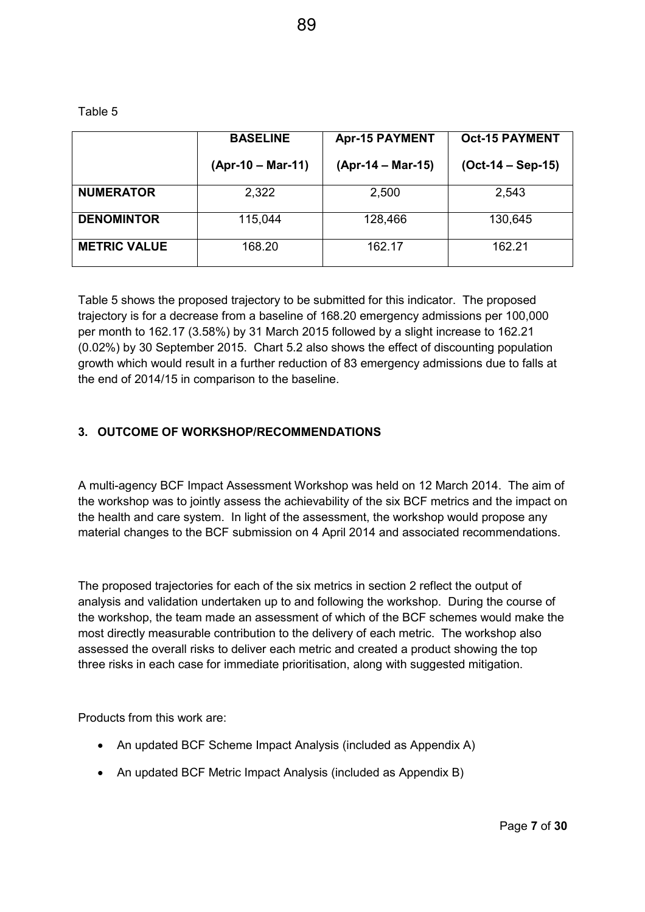Table 5

|                     | <b>BASELINE</b>     | <b>Apr-15 PAYMENT</b> | <b>Oct-15 PAYMENT</b> |  |
|---------------------|---------------------|-----------------------|-----------------------|--|
|                     | $(Apr-10 - Mar-11)$ | $(Apr-14 - Mar-15)$   | $(Oct-14 - Sep-15)$   |  |
| <b>NUMERATOR</b>    | 2,322               | 2,500                 | 2,543                 |  |
| <b>DENOMINTOR</b>   | 115,044             | 128,466               | 130,645               |  |
| <b>METRIC VALUE</b> | 168.20              | 162.17                | 162.21                |  |

Table 5 shows the proposed trajectory to be submitted for this indicator. The proposed trajectory is for a decrease from a baseline of 168.20 emergency admissions per 100,000 per month to 162.17 (3.58%) by 31 March 2015 followed by a slight increase to 162.21 (0.02%) by 30 September 2015. Chart 5.2 also shows the effect of discounting population growth which would result in a further reduction of 83 emergency admissions due to falls at the end of 2014/15 in comparison to the baseline.

#### **3. OUTCOME OF WORKSHOP/RECOMMENDATIONS**

A multi-agency BCF Impact Assessment Workshop was held on 12 March 2014. The aim of the workshop was to jointly assess the achievability of the six BCF metrics and the impact on the health and care system. In light of the assessment, the workshop would propose any material changes to the BCF submission on 4 April 2014 and associated recommendations.

The proposed trajectories for each of the six metrics in section 2 reflect the output of analysis and validation undertaken up to and following the workshop. During the course of the workshop, the team made an assessment of which of the BCF schemes would make the most directly measurable contribution to the delivery of each metric. The workshop also assessed the overall risks to deliver each metric and created a product showing the top three risks in each case for immediate prioritisation, along with suggested mitigation.

Products from this work are:

- An updated BCF Scheme Impact Analysis (included as Appendix A)
- An updated BCF Metric Impact Analysis (included as Appendix B)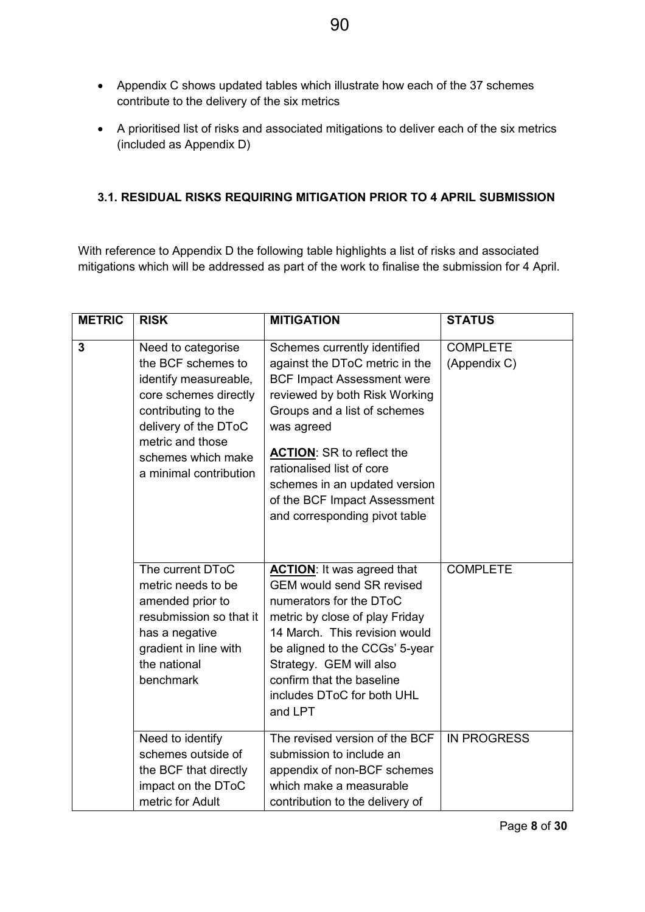- Appendix C shows updated tables which illustrate how each of the 37 schemes contribute to the delivery of the six metrics
- A prioritised list of risks and associated mitigations to deliver each of the six metrics (included as Appendix D)

#### **3.1. RESIDUAL RISKS REQUIRING MITIGATION PRIOR TO 4 APRIL SUBMISSION**

With reference to Appendix D the following table highlights a list of risks and associated mitigations which will be addressed as part of the work to finalise the submission for 4 April.

| <b>METRIC</b>  | <b>RISK</b>                                                                                                                                                                                                   | <b>MITIGATION</b>                                                                                                                                                                                                                                                                                                                                     | <b>STATUS</b>                   |
|----------------|---------------------------------------------------------------------------------------------------------------------------------------------------------------------------------------------------------------|-------------------------------------------------------------------------------------------------------------------------------------------------------------------------------------------------------------------------------------------------------------------------------------------------------------------------------------------------------|---------------------------------|
| $\overline{3}$ | Need to categorise<br>the BCF schemes to<br>identify measureable,<br>core schemes directly<br>contributing to the<br>delivery of the DToC<br>metric and those<br>schemes which make<br>a minimal contribution | Schemes currently identified<br>against the DToC metric in the<br><b>BCF Impact Assessment were</b><br>reviewed by both Risk Working<br>Groups and a list of schemes<br>was agreed<br><b>ACTION: SR to reflect the</b><br>rationalised list of core<br>schemes in an updated version<br>of the BCF Impact Assessment<br>and corresponding pivot table | <b>COMPLETE</b><br>(Appendix C) |
|                | The current DToC<br>metric needs to be<br>amended prior to<br>resubmission so that it<br>has a negative<br>gradient in line with<br>the national<br>benchmark                                                 | <b>ACTION:</b> It was agreed that<br><b>GEM would send SR revised</b><br>numerators for the DToC<br>metric by close of play Friday<br>14 March. This revision would<br>be aligned to the CCGs' 5-year<br>Strategy. GEM will also<br>confirm that the baseline<br>includes DToC for both UHL<br>and LPT                                                | <b>COMPLETE</b>                 |
|                | Need to identify<br>schemes outside of<br>the BCF that directly<br>impact on the DToC<br>metric for Adult                                                                                                     | The revised version of the BCF<br>submission to include an<br>appendix of non-BCF schemes<br>which make a measurable<br>contribution to the delivery of                                                                                                                                                                                               | <b>IN PROGRESS</b>              |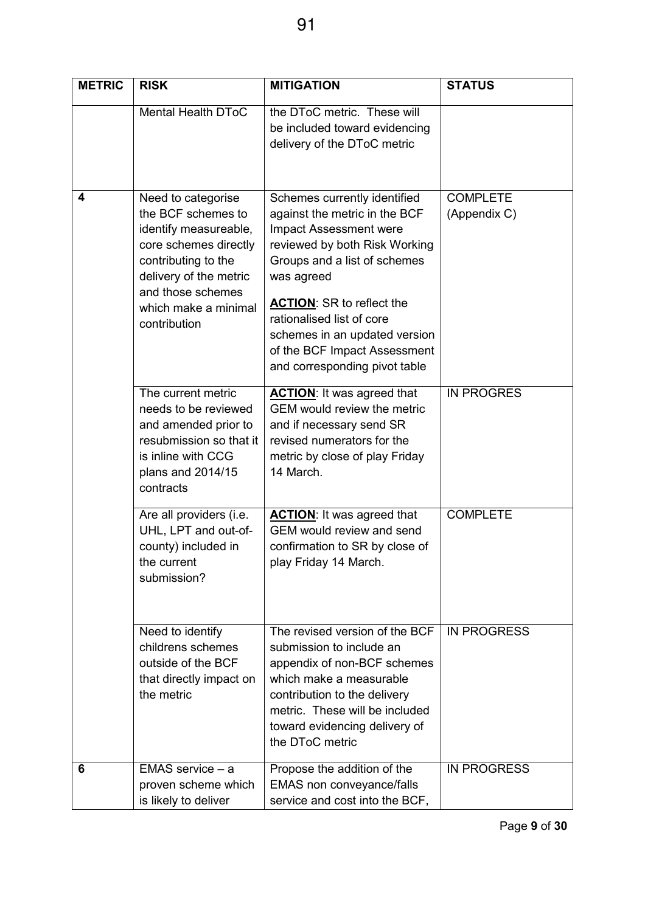| <b>METRIC</b> | <b>RISK</b>                                                                                                                                                                                              | <b>MITIGATION</b>                                                                                                                                                                                                                                                                                                                         | <b>STATUS</b>                   |
|---------------|----------------------------------------------------------------------------------------------------------------------------------------------------------------------------------------------------------|-------------------------------------------------------------------------------------------------------------------------------------------------------------------------------------------------------------------------------------------------------------------------------------------------------------------------------------------|---------------------------------|
|               | <b>Mental Health DToC</b>                                                                                                                                                                                | the DToC metric. These will<br>be included toward evidencing<br>delivery of the DToC metric                                                                                                                                                                                                                                               |                                 |
| 4             | Need to categorise<br>the BCF schemes to<br>identify measureable,<br>core schemes directly<br>contributing to the<br>delivery of the metric<br>and those schemes<br>which make a minimal<br>contribution | Schemes currently identified<br>against the metric in the BCF<br>Impact Assessment were<br>reviewed by both Risk Working<br>Groups and a list of schemes<br>was agreed<br><b>ACTION: SR to reflect the</b><br>rationalised list of core<br>schemes in an updated version<br>of the BCF Impact Assessment<br>and corresponding pivot table | <b>COMPLETE</b><br>(Appendix C) |
|               | The current metric<br>needs to be reviewed<br>and amended prior to<br>resubmission so that it<br>is inline with CCG<br>plans and 2014/15<br>contracts                                                    | <b>ACTION:</b> It was agreed that<br>GEM would review the metric<br>and if necessary send SR<br>revised numerators for the<br>metric by close of play Friday<br>14 March.                                                                                                                                                                 | <b>IN PROGRES</b>               |
|               | Are all providers (i.e.<br>UHL, LPT and out-of-<br>county) included in<br>the current<br>submission?                                                                                                     | <b>ACTION:</b> It was agreed that<br>GEM would review and send<br>confirmation to SR by close of<br>play Friday 14 March.                                                                                                                                                                                                                 | <b>COMPLETE</b>                 |
|               | Need to identify<br>childrens schemes<br>outside of the BCF<br>that directly impact on<br>the metric                                                                                                     | The revised version of the BCF<br>submission to include an<br>appendix of non-BCF schemes<br>which make a measurable<br>contribution to the delivery<br>metric. These will be included<br>toward evidencing delivery of<br>the DToC metric                                                                                                | <b>IN PROGRESS</b>              |
| 6             | $EMAS$ service $- a$<br>proven scheme which<br>is likely to deliver                                                                                                                                      | Propose the addition of the<br>EMAS non conveyance/falls<br>service and cost into the BCF,                                                                                                                                                                                                                                                | <b>IN PROGRESS</b>              |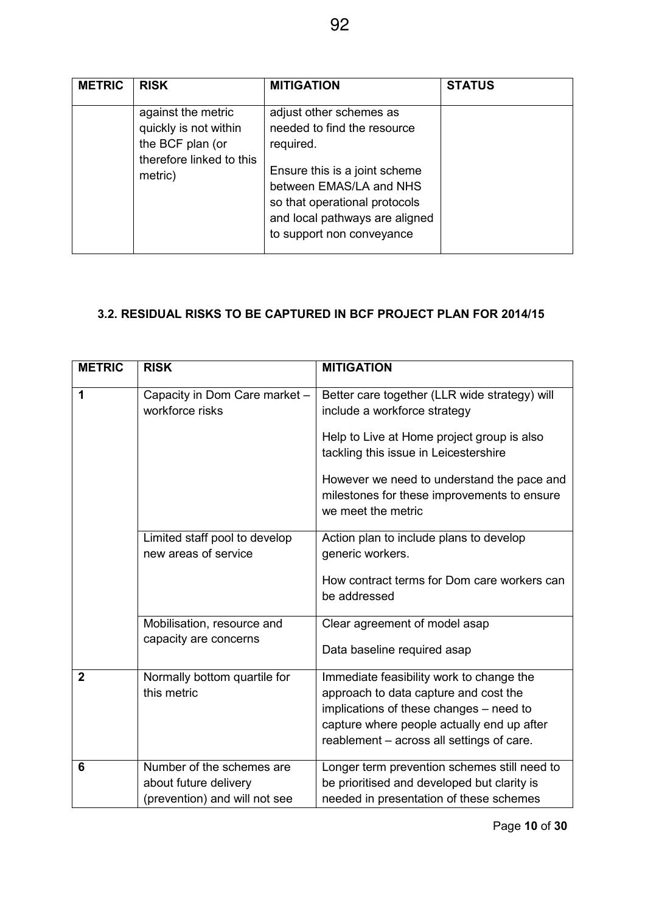| <b>METRIC</b> | <b>RISK</b>                                                                                            | <b>MITIGATION</b>                                                                                                                                                                                                               | <b>STATUS</b> |
|---------------|--------------------------------------------------------------------------------------------------------|---------------------------------------------------------------------------------------------------------------------------------------------------------------------------------------------------------------------------------|---------------|
|               | against the metric<br>quickly is not within<br>the BCF plan (or<br>therefore linked to this<br>metric) | adjust other schemes as<br>needed to find the resource<br>required.<br>Ensure this is a joint scheme<br>between EMAS/LA and NHS<br>so that operational protocols<br>and local pathways are aligned<br>to support non conveyance |               |

### **3.2. RESIDUAL RISKS TO BE CAPTURED IN BCF PROJECT PLAN FOR 2014/15**

| <b>METRIC</b>  | <b>RISK</b>                                                                         | <b>MITIGATION</b>                                                                                                                                                                                                                                                                       |
|----------------|-------------------------------------------------------------------------------------|-----------------------------------------------------------------------------------------------------------------------------------------------------------------------------------------------------------------------------------------------------------------------------------------|
| 1              | Capacity in Dom Care market -<br>workforce risks                                    | Better care together (LLR wide strategy) will<br>include a workforce strategy<br>Help to Live at Home project group is also<br>tackling this issue in Leicestershire<br>However we need to understand the pace and<br>milestones for these improvements to ensure<br>we meet the metric |
|                | Limited staff pool to develop<br>new areas of service                               | Action plan to include plans to develop<br>generic workers.<br>How contract terms for Dom care workers can<br>be addressed                                                                                                                                                              |
|                | Mobilisation, resource and<br>capacity are concerns                                 | Clear agreement of model asap<br>Data baseline required asap                                                                                                                                                                                                                            |
| $\overline{2}$ | Normally bottom quartile for<br>this metric                                         | Immediate feasibility work to change the<br>approach to data capture and cost the<br>implications of these changes - need to<br>capture where people actually end up after<br>reablement - across all settings of care.                                                                 |
| 6              | Number of the schemes are<br>about future delivery<br>(prevention) and will not see | Longer term prevention schemes still need to<br>be prioritised and developed but clarity is<br>needed in presentation of these schemes                                                                                                                                                  |

Page **10** of **30**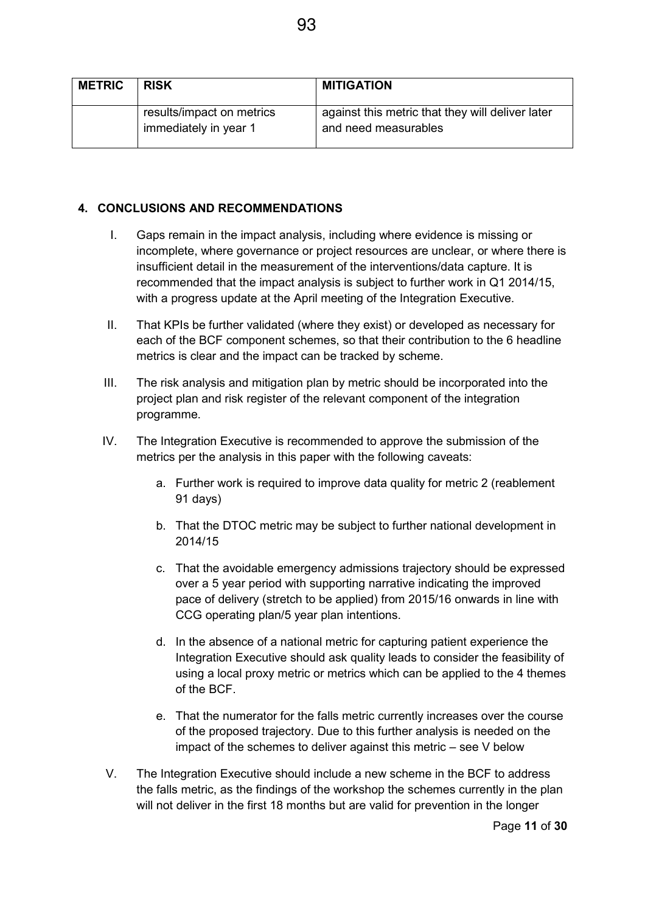| <b>METRIC</b> | <b>RISK</b>                                        | <b>MITIGATION</b>                                                        |
|---------------|----------------------------------------------------|--------------------------------------------------------------------------|
|               | results/impact on metrics<br>immediately in year 1 | against this metric that they will deliver later<br>and need measurables |

#### **4. CONCLUSIONS AND RECOMMENDATIONS**

- I. Gaps remain in the impact analysis, including where evidence is missing or incomplete, where governance or project resources are unclear, or where there is insufficient detail in the measurement of the interventions/data capture. It is recommended that the impact analysis is subject to further work in Q1 2014/15, with a progress update at the April meeting of the Integration Executive.
- II. That KPIs be further validated (where they exist) or developed as necessary for each of the BCF component schemes, so that their contribution to the 6 headline metrics is clear and the impact can be tracked by scheme.
- III. The risk analysis and mitigation plan by metric should be incorporated into the project plan and risk register of the relevant component of the integration programme.
- IV. The Integration Executive is recommended to approve the submission of the metrics per the analysis in this paper with the following caveats:
	- a. Further work is required to improve data quality for metric 2 (reablement 91 days)
	- b. That the DTOC metric may be subject to further national development in 2014/15
	- c. That the avoidable emergency admissions trajectory should be expressed over a 5 year period with supporting narrative indicating the improved pace of delivery (stretch to be applied) from 2015/16 onwards in line with CCG operating plan/5 year plan intentions.
	- d. In the absence of a national metric for capturing patient experience the Integration Executive should ask quality leads to consider the feasibility of using a local proxy metric or metrics which can be applied to the 4 themes of the BCF.
	- e. That the numerator for the falls metric currently increases over the course of the proposed trajectory. Due to this further analysis is needed on the impact of the schemes to deliver against this metric – see V below
- V. The Integration Executive should include a new scheme in the BCF to address the falls metric, as the findings of the workshop the schemes currently in the plan will not deliver in the first 18 months but are valid for prevention in the longer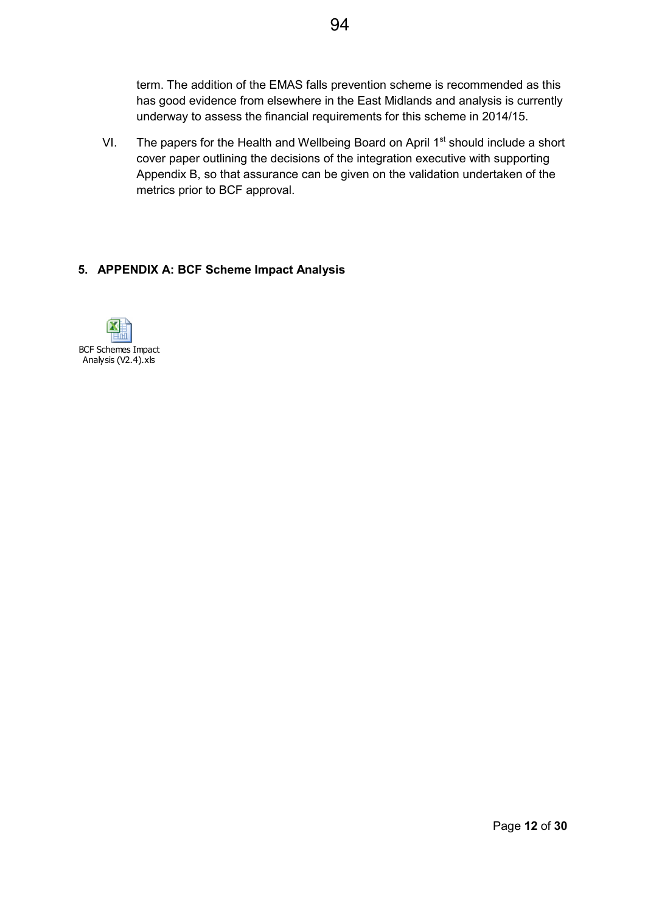term. The addition of the EMAS falls prevention scheme is recommended as this has good evidence from elsewhere in the East Midlands and analysis is currently underway to assess the financial requirements for this scheme in 2014/15.

VI. The papers for the Health and Wellbeing Board on April  $1<sup>st</sup>$  should include a short cover paper outlining the decisions of the integration executive with supporting Appendix B, so that assurance can be given on the validation undertaken of the metrics prior to BCF approval.

#### **5. APPENDIX A: BCF Scheme Impact Analysis**

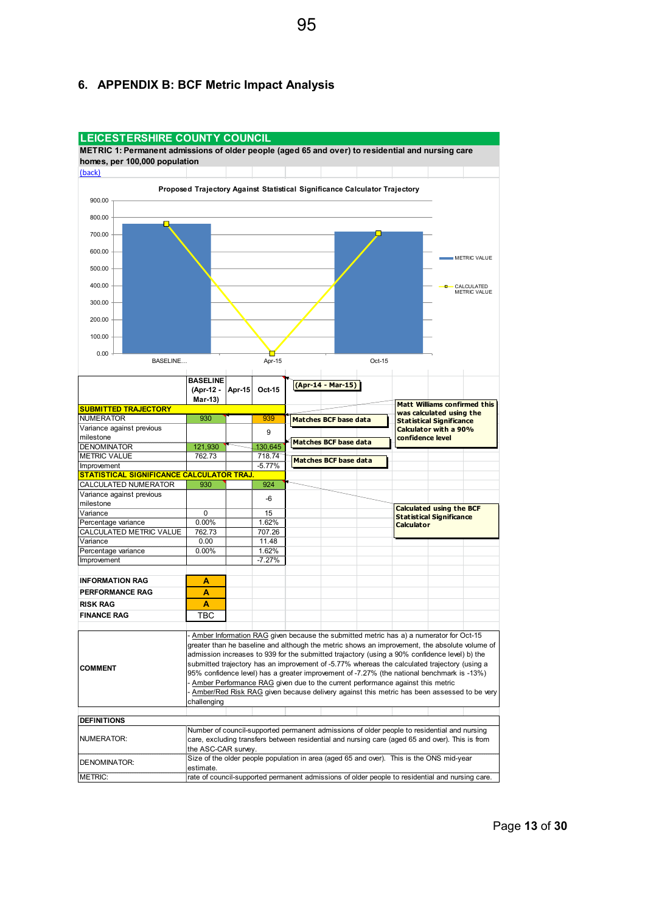

#### **6. APPENDIX B: BCF Metric Impact Analysis**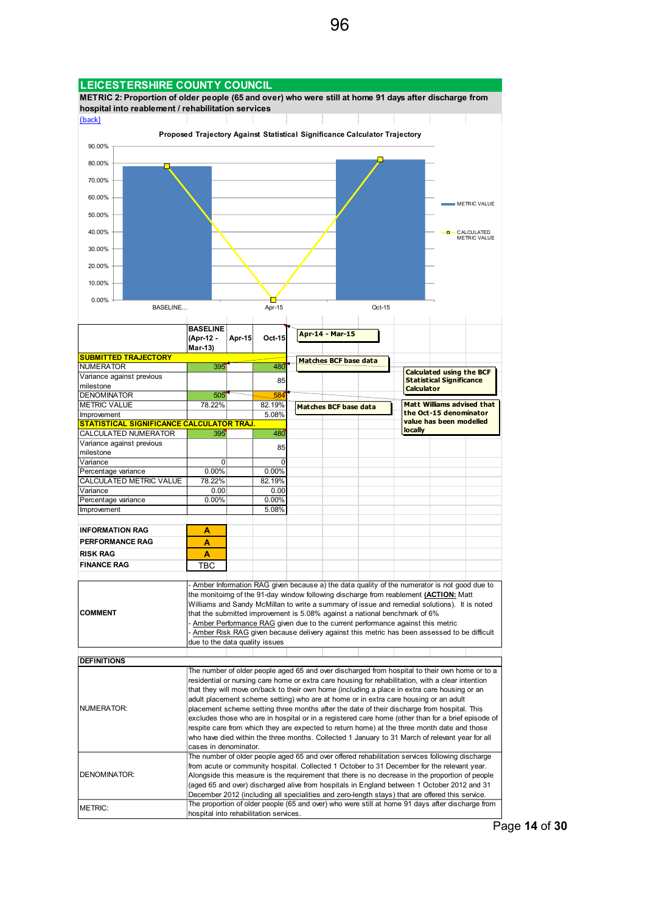

Page **14** of **30**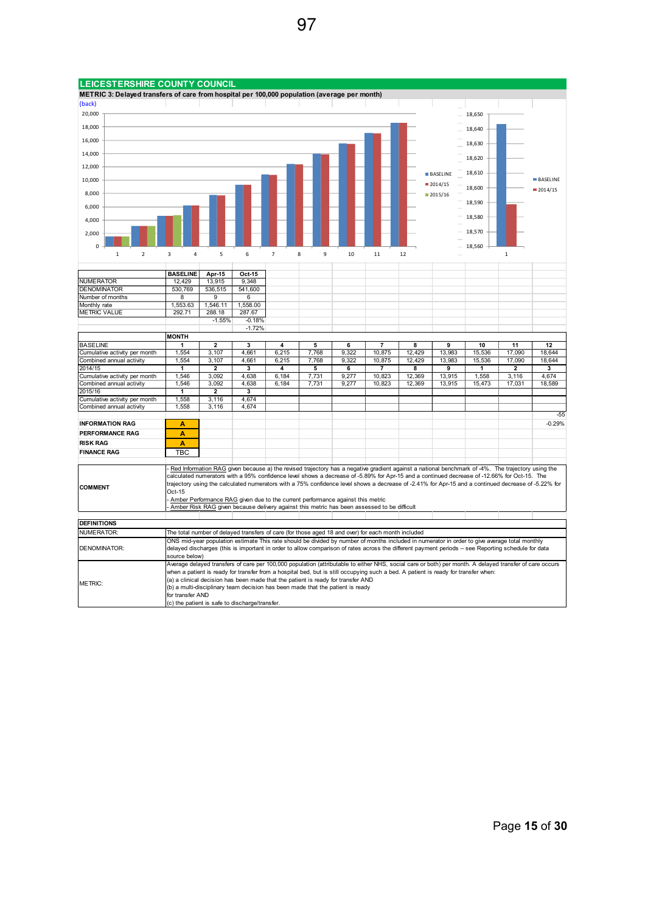

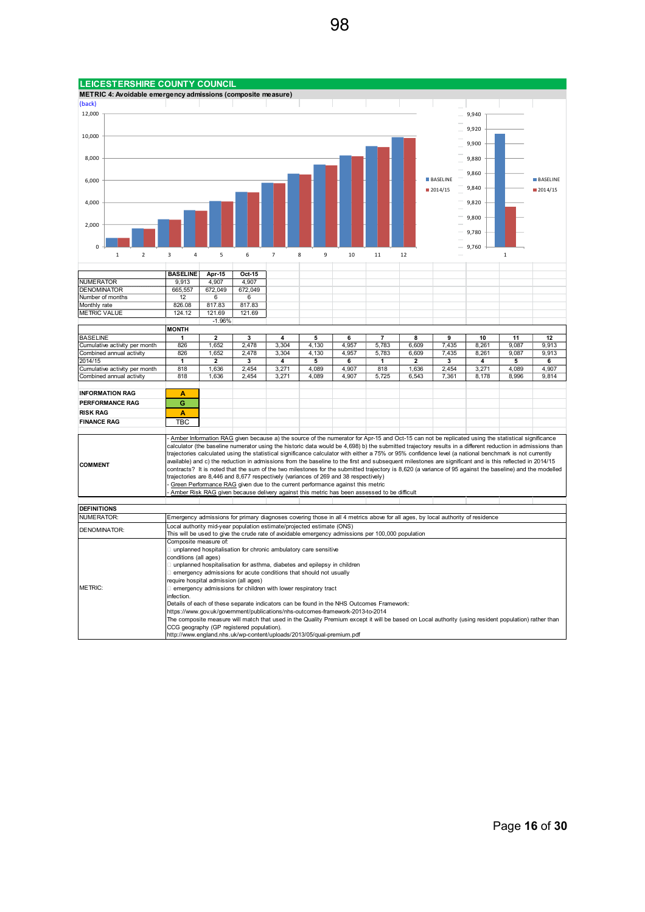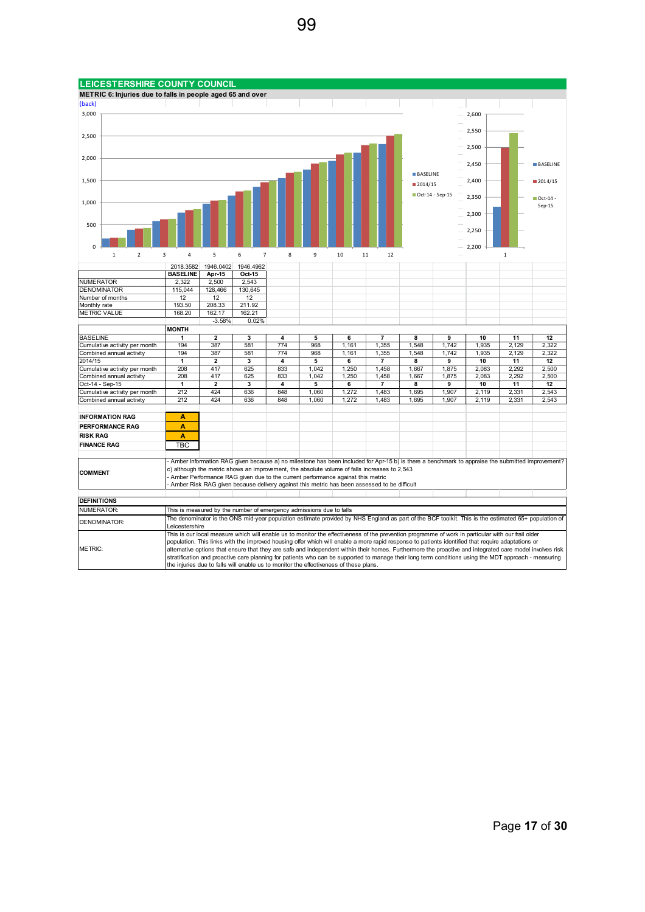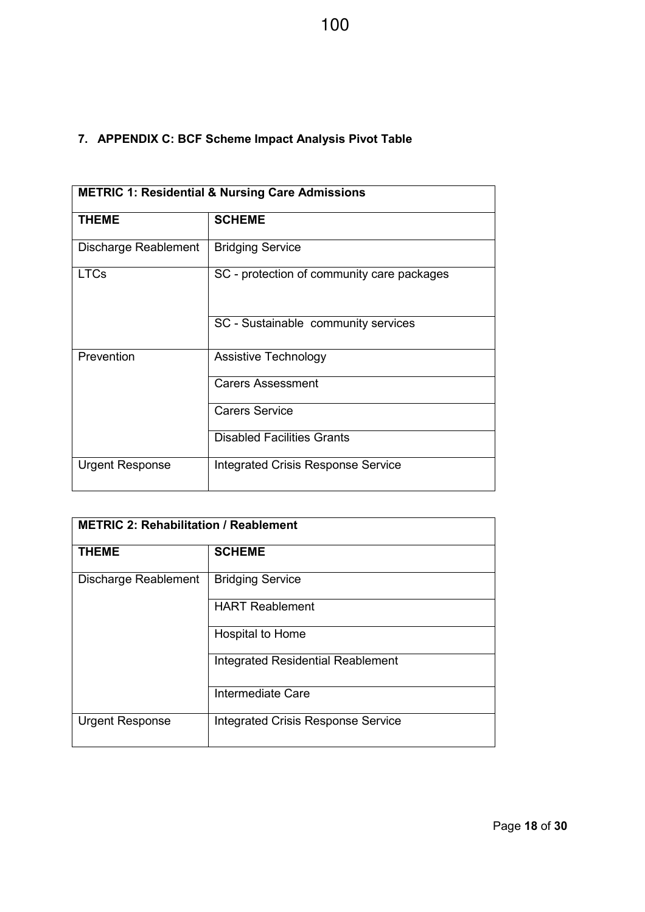### **7. APPENDIX C: BCF Scheme Impact Analysis Pivot Table**

| <b>METRIC 1: Residential &amp; Nursing Care Admissions</b> |                                            |  |
|------------------------------------------------------------|--------------------------------------------|--|
| <b>THEME</b>                                               | <b>SCHEME</b>                              |  |
| Discharge Reablement                                       | <b>Bridging Service</b>                    |  |
| <b>LTCs</b>                                                | SC - protection of community care packages |  |
|                                                            | SC - Sustainable community services        |  |
| Prevention                                                 | Assistive Technology                       |  |
|                                                            | <b>Carers Assessment</b>                   |  |
|                                                            | <b>Carers Service</b>                      |  |
|                                                            | <b>Disabled Facilities Grants</b>          |  |
| <b>Urgent Response</b>                                     | <b>Integrated Crisis Response Service</b>  |  |

| <b>METRIC 2: Rehabilitation / Reablement</b> |                                           |  |
|----------------------------------------------|-------------------------------------------|--|
| <b>THEME</b>                                 | <b>SCHEME</b>                             |  |
| Discharge Reablement                         | <b>Bridging Service</b>                   |  |
|                                              | <b>HART Reablement</b>                    |  |
|                                              | Hospital to Home                          |  |
|                                              | <b>Integrated Residential Reablement</b>  |  |
|                                              | Intermediate Care                         |  |
| <b>Urgent Response</b>                       | <b>Integrated Crisis Response Service</b> |  |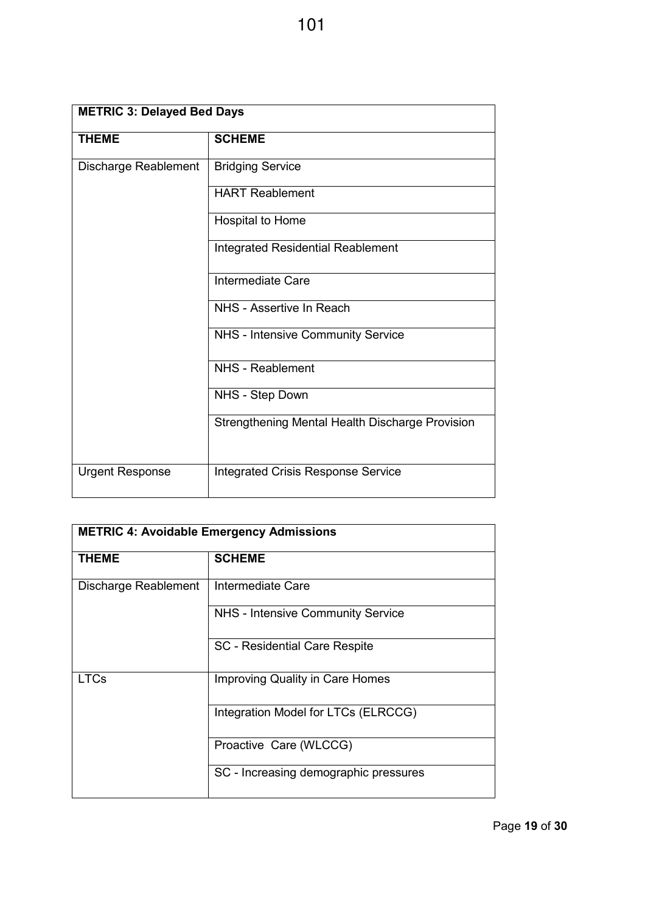| <b>METRIC 3: Delayed Bed Days</b> |                                                 |  |  |
|-----------------------------------|-------------------------------------------------|--|--|
| <b>THEME</b>                      | <b>SCHEME</b>                                   |  |  |
| Discharge Reablement              | <b>Bridging Service</b>                         |  |  |
|                                   | <b>HART Reablement</b>                          |  |  |
|                                   | Hospital to Home                                |  |  |
|                                   | <b>Integrated Residential Reablement</b>        |  |  |
|                                   | Intermediate Care                               |  |  |
|                                   | NHS - Assertive In Reach                        |  |  |
|                                   | NHS - Intensive Community Service               |  |  |
|                                   | NHS - Reablement                                |  |  |
|                                   | NHS - Step Down                                 |  |  |
|                                   | Strengthening Mental Health Discharge Provision |  |  |
| <b>Urgent Response</b>            | <b>Integrated Crisis Response Service</b>       |  |  |

| <b>METRIC 4: Avoidable Emergency Admissions</b> |                                        |  |  |
|-------------------------------------------------|----------------------------------------|--|--|
| <b>THEME</b>                                    | <b>SCHEME</b>                          |  |  |
| Discharge Reablement                            | Intermediate Care                      |  |  |
|                                                 | NHS - Intensive Community Service      |  |  |
|                                                 | <b>SC</b> - Residential Care Respite   |  |  |
| <b>LTCs</b>                                     | <b>Improving Quality in Care Homes</b> |  |  |
|                                                 | Integration Model for LTCs (ELRCCG)    |  |  |
|                                                 | Proactive Care (WLCCG)                 |  |  |
|                                                 | SC - Increasing demographic pressures  |  |  |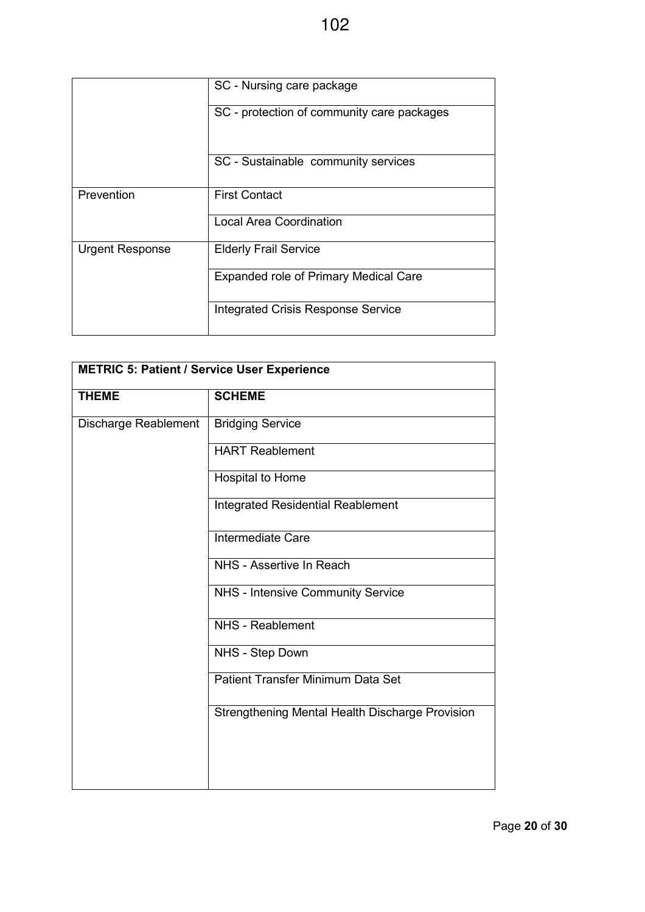|                        | SC - Nursing care package                  |  |  |
|------------------------|--------------------------------------------|--|--|
|                        | SC - protection of community care packages |  |  |
|                        | SC - Sustainable community services        |  |  |
| Prevention             | <b>First Contact</b>                       |  |  |
|                        | <b>Local Area Coordination</b>             |  |  |
| <b>Urgent Response</b> | <b>Elderly Frail Service</b>               |  |  |
|                        | Expanded role of Primary Medical Care      |  |  |
|                        | <b>Integrated Crisis Response Service</b>  |  |  |

| <b>METRIC 5: Patient / Service User Experience</b> |                                                 |  |  |  |
|----------------------------------------------------|-------------------------------------------------|--|--|--|
| <b>THEME</b>                                       | <b>SCHEME</b>                                   |  |  |  |
| Discharge Reablement                               | <b>Bridging Service</b>                         |  |  |  |
|                                                    | <b>HART Reablement</b>                          |  |  |  |
|                                                    | Hospital to Home                                |  |  |  |
|                                                    | <b>Integrated Residential Reablement</b>        |  |  |  |
|                                                    | <b>Intermediate Care</b>                        |  |  |  |
|                                                    | NHS - Assertive In Reach                        |  |  |  |
|                                                    | NHS - Intensive Community Service               |  |  |  |
|                                                    | NHS - Reablement                                |  |  |  |
|                                                    | NHS - Step Down                                 |  |  |  |
|                                                    | Patient Transfer Minimum Data Set               |  |  |  |
|                                                    | Strengthening Mental Health Discharge Provision |  |  |  |
|                                                    |                                                 |  |  |  |
|                                                    |                                                 |  |  |  |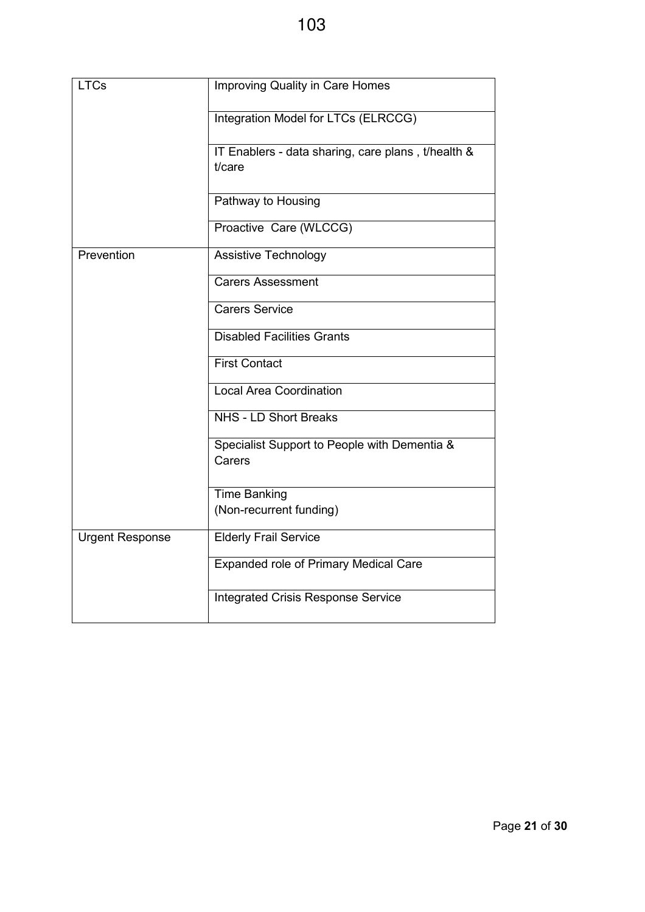| <b>LTCs</b>            | <b>Improving Quality in Care Homes</b>                       |
|------------------------|--------------------------------------------------------------|
|                        | Integration Model for LTCs (ELRCCG)                          |
|                        | IT Enablers - data sharing, care plans, t/health &<br>t/care |
|                        | Pathway to Housing                                           |
|                        | Proactive Care (WLCCG)                                       |
| Prevention             | Assistive Technology                                         |
|                        | <b>Carers Assessment</b>                                     |
|                        | <b>Carers Service</b>                                        |
|                        | <b>Disabled Facilities Grants</b>                            |
|                        | <b>First Contact</b>                                         |
|                        | <b>Local Area Coordination</b>                               |
|                        | <b>NHS - LD Short Breaks</b>                                 |
|                        | Specialist Support to People with Dementia &<br>Carers       |
|                        | <b>Time Banking</b><br>(Non-recurrent funding)               |
| <b>Urgent Response</b> | <b>Elderly Frail Service</b>                                 |
|                        | Expanded role of Primary Medical Care                        |
|                        | <b>Integrated Crisis Response Service</b>                    |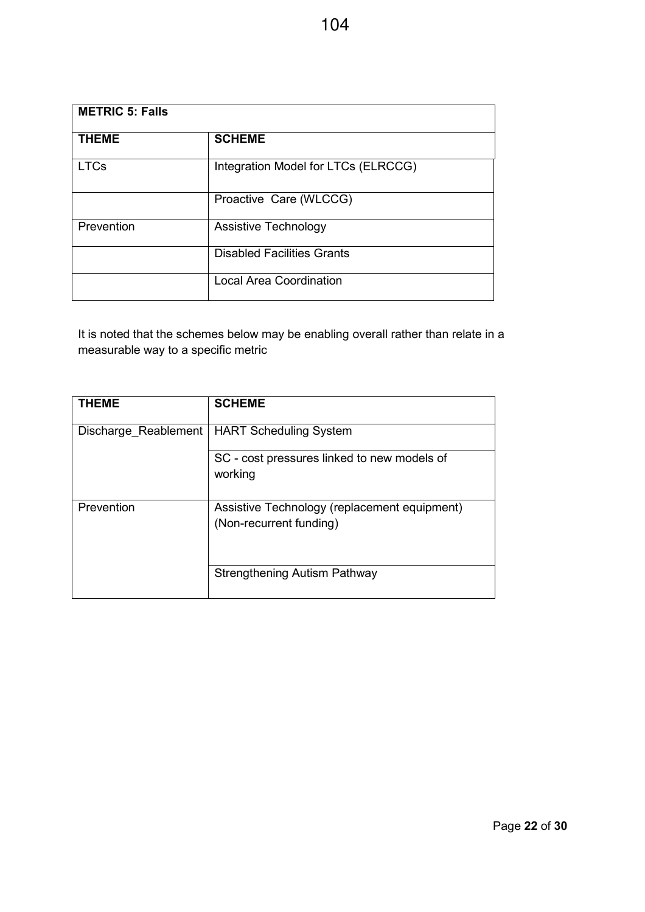| <b>METRIC 5: Falls</b> |                                     |  |  |
|------------------------|-------------------------------------|--|--|
| <b>THEME</b>           | <b>SCHEME</b>                       |  |  |
| <b>LTCs</b>            | Integration Model for LTCs (ELRCCG) |  |  |
|                        | Proactive Care (WLCCG)              |  |  |
| Prevention             | Assistive Technology                |  |  |
|                        | <b>Disabled Facilities Grants</b>   |  |  |
|                        | <b>Local Area Coordination</b>      |  |  |

It is noted that the schemes below may be enabling overall rather than relate in a measurable way to a specific metric

| <b>THEME</b>         | <b>SCHEME</b>                                                           |
|----------------------|-------------------------------------------------------------------------|
| Discharge Reablement | <b>HART Scheduling System</b>                                           |
|                      | SC - cost pressures linked to new models of<br>working                  |
| Prevention           | Assistive Technology (replacement equipment)<br>(Non-recurrent funding) |
|                      | Strengthening Autism Pathway                                            |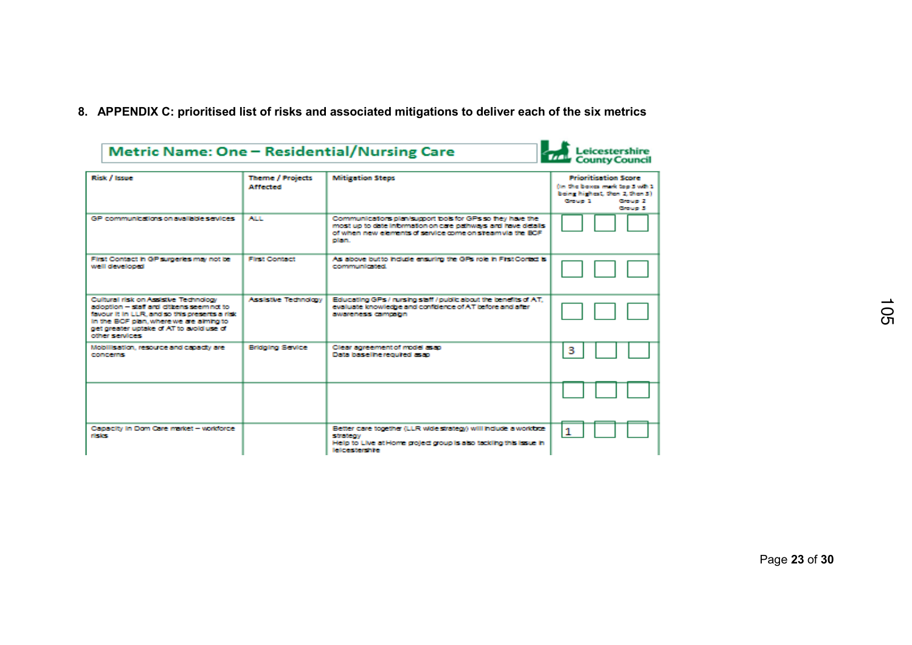**8. APPENDIX C: prioritised list of risks and associated mitigations to deliver each of the six metrics**

| Metric Name: One - Residential/Nursing Care                                                                                                                                                                                                |                                            |                                                                                                                                                                                                   | Leicestershire<br>County Council                                                                                                    |
|--------------------------------------------------------------------------------------------------------------------------------------------------------------------------------------------------------------------------------------------|--------------------------------------------|---------------------------------------------------------------------------------------------------------------------------------------------------------------------------------------------------|-------------------------------------------------------------------------------------------------------------------------------------|
| Risk / Issue                                                                                                                                                                                                                               | <b>Theme / Projects</b><br><b>Affected</b> | <b>Mitigation Steps</b>                                                                                                                                                                           | <b>Prioritisation Score</b><br>(in the boxes mark too 3 with 1)<br>being highest, then 2, then 3).<br>Group 1<br>Group 2<br>Group 3 |
| GP communications on available services                                                                                                                                                                                                    | ALL.                                       | Communications plan/support bols for GPs so they have the<br>most up to date information on care pathways and have details<br>of when new elements of service come on steam via the BCF.<br>olan. |                                                                                                                                     |
| First Contact in GP surgeries may not be<br>well developed                                                                                                                                                                                 | <b>First Contact</b>                       | As above butto indude ensuring the GPs role in First Contact is<br>communicated.                                                                                                                  |                                                                                                                                     |
| Cultural risk on Assistive Technology<br>adoption - staff and diffensiseemind to<br>favour it in LLR, and so this presents a risk<br>In the BCF plan, where we are almha to<br>get greater uptake of AT to avoid use of<br>other services: | Assistive Technology                       | Educating GPs / rursing staff / public about the benefits of AT.<br>evaluate knowledge and confidence of AT before and after<br>awareness campaign                                                |                                                                                                                                     |
| Mobilisation, resource and capacity are<br><b>CONCERNS</b>                                                                                                                                                                                 | <b>Bridging Sevice</b>                     | Clear soreement of model as ap<br>Data baseline required as an                                                                                                                                    | з                                                                                                                                   |
|                                                                                                                                                                                                                                            |                                            |                                                                                                                                                                                                   |                                                                                                                                     |
| Capacity in Dom Care market - workforce<br><b>risks</b>                                                                                                                                                                                    |                                            | Better care together (LLR wide strategy) will indude a workbox-<br>strategy<br>Help to Live at Home groled group is also tackling this issue in<br>lelcestershire                                 | 1                                                                                                                                   |

Page **23** of **30**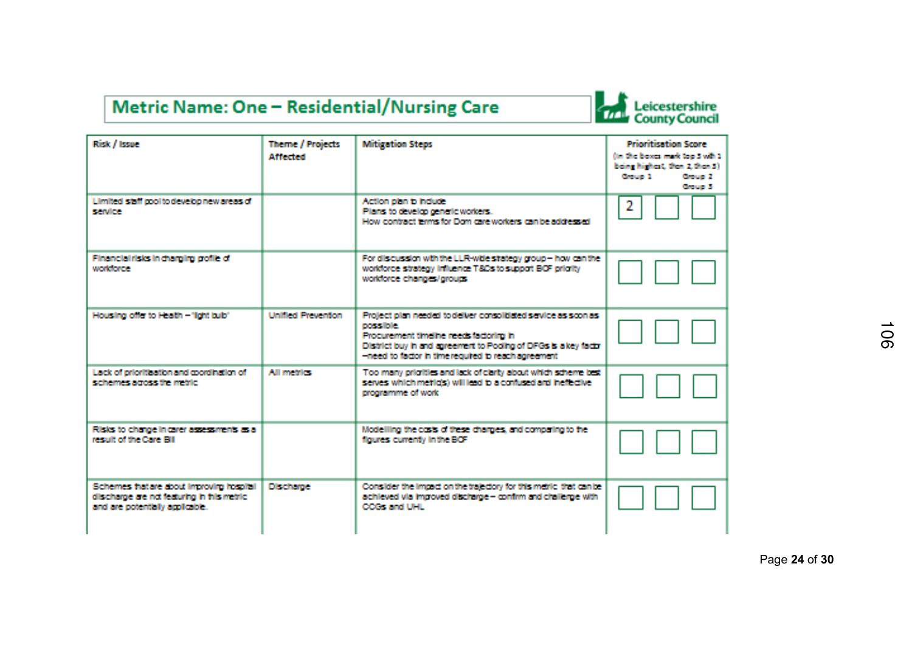## Metric Name: One - Residential/Nursing Care



| Risk / Issue                                                                                                              | <b>Theme / Projects</b><br><b>Affected</b> | <b>Mitigation Steps</b>                                                                                                                                                                                                                            | <b>Prioritisation Score</b><br>(in the boxes mark too 3 with 1)<br>being highest, then 2 then 3).<br><b>Consumer 1</b><br><b>Croup 2</b><br>Chouse 3 |
|---------------------------------------------------------------------------------------------------------------------------|--------------------------------------------|----------------------------------------------------------------------------------------------------------------------------------------------------------------------------------------------------------------------------------------------------|------------------------------------------------------------------------------------------------------------------------------------------------------|
| Limited staff cool to develop new areas of<br>spendings.                                                                  |                                            | Action plan to induce.<br>Plans to develop generic workers.<br>How contract terms for Dom care workers can be addressed.                                                                                                                           | 2                                                                                                                                                    |
| Financial risks in charging grofile of<br>workforce.                                                                      |                                            | For discussion with the LLR-wide stategy group - how can the<br>workforce strategy influence T&Cs to support BCF origity<br>workforce changes/groups                                                                                               |                                                                                                                                                      |
| Housing offer to Health - "lont bub"                                                                                      | Unitied Prevention                         | Profect plan needed to deliver consolidated sewice as scon as<br>nered him.<br>Procurement timeline needs factoring in<br>District buy in and agreement to Pooling of DFGs is a key factor<br>-need to factor in time required to reach agreement. |                                                                                                                                                      |
| Lack of prioritisation and coordination of<br>subserves arross the restrict                                               | All metrics:                               | Too many origities and lack of clarky about which scheme best<br>serves which meticis) will lead to a contused and inefective.<br>programme of work.                                                                                               |                                                                                                                                                      |
| Risks to change in carer assessments as a<br>rescult of the Core FIII.                                                    |                                            | Modelling the casts of these charges, and comparing to the<br>floures currently in the BCF                                                                                                                                                         |                                                                                                                                                      |
| Schemes hatare about improvirg hospital<br>discharge are not featuring in fris metric.<br>and are potentially applicable. | <b>Discharge</b>                           | Consider the impact on the trajectory for this metric, that can be<br>achieved via impoved discharge - confirm and challenge with<br>CODE would be a                                                                                               |                                                                                                                                                      |

Page **24** of **30**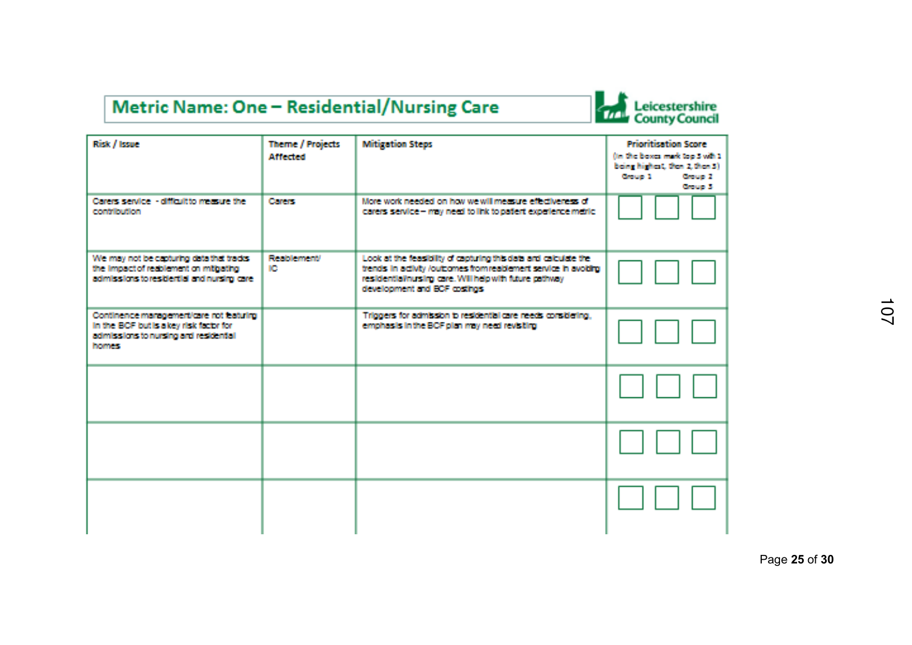## Metric Name: One - Residential/Nursing Care

# Leicestershire<br>County Council

| Risk / Issue                                                                                                                                | <b>Theme / Projects</b><br><b>Affected</b> | <b>Mitigation Steps</b>                                                                                                                                                                                                        | <b>Prioritisation Score</b><br>(in the boxes mark too 3 with 1)<br>being highest, then 2, then 3).<br>Chouse 21<br><b>Course 1</b><br><b>Course</b> 31 |
|---------------------------------------------------------------------------------------------------------------------------------------------|--------------------------------------------|--------------------------------------------------------------------------------------------------------------------------------------------------------------------------------------------------------------------------------|--------------------------------------------------------------------------------------------------------------------------------------------------------|
| Carers service - difficult to measure the<br>a vantalizations.                                                                              | <b>Carers:</b>                             | More work needed on how we will measure effectiveness of<br>carers service - may need to link to patient experience metric.                                                                                                    |                                                                                                                                                        |
| We may not be capturing data that tracks.<br>the impact of resblement on mithating<br>admissions to residertial and nursing care.           | <b>Beaching recent/</b><br><b>ICE</b>      | Look at the feasibility of capturing this data and calculate the<br>trends in adjuty /outcomes from realdement service in avoiding<br>residential/nursing care. Will help with future pathway<br>development and BCF costings. |                                                                                                                                                        |
| Continence management/care not leaturing<br>In the BCF but is a key risk factor for<br>admissions to nursing and residental<br><b>homes</b> |                                            | Triggers for admission to residential care needs considering,<br>emphasis in the BCF plan may need revisiting                                                                                                                  |                                                                                                                                                        |
|                                                                                                                                             |                                            |                                                                                                                                                                                                                                |                                                                                                                                                        |
|                                                                                                                                             |                                            |                                                                                                                                                                                                                                |                                                                                                                                                        |
|                                                                                                                                             |                                            |                                                                                                                                                                                                                                |                                                                                                                                                        |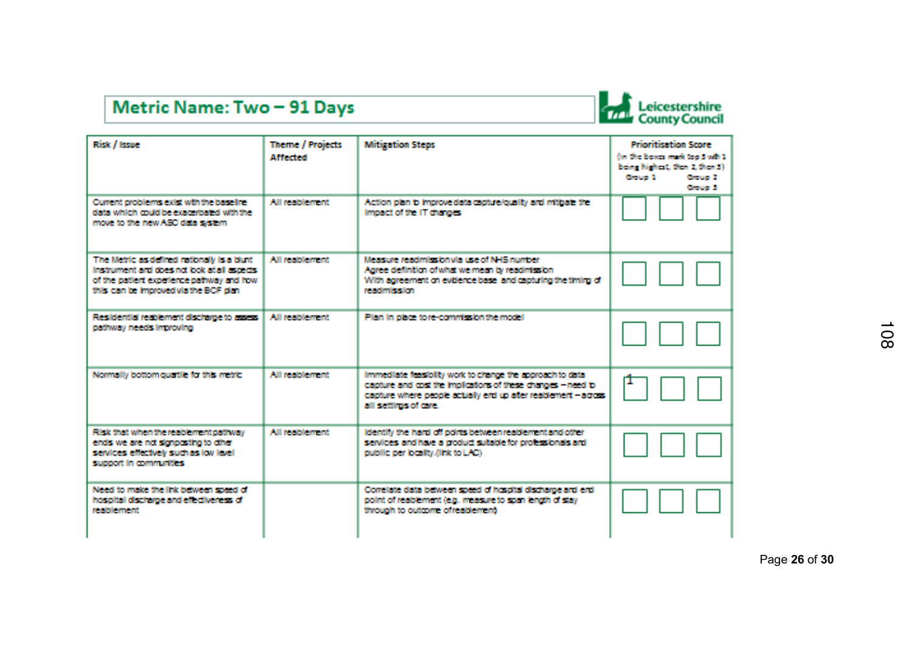## Metric Name: Two - 91 Days



| Risk / Issue                                                                                                                                                                         | <b>Theme / Projects</b><br><b>Affected</b> | <b>Mitigation Steps</b>                                                                                                                                                                                               | <b>Princification Score</b><br>(in the boxes mark too 5 with 1<br>being highest, then 2 then 3).<br><b>Contact 3</b><br>Consume 21<br>Course 3 |
|--------------------------------------------------------------------------------------------------------------------------------------------------------------------------------------|--------------------------------------------|-----------------------------------------------------------------------------------------------------------------------------------------------------------------------------------------------------------------------|------------------------------------------------------------------------------------------------------------------------------------------------|
| Current problems exist with the baseline<br>data which could be exacerbated with the<br>move to the new ASC data system.                                                             | All residenced                             | Action plan to improve data capture/quality and mitbate the<br>Impact of the IT changes.                                                                                                                              |                                                                                                                                                |
| The Metric as defined rationally is a blunt.<br>instrument and does not look at all aspects.<br>of the patient experience pathway and how.<br>this can be improved via the BCF clan. | All residement.                            | Measure readmission via use of NHS number.<br>Agree definition of what we mean by readmission.<br>With agreement on evidence base, and capturing the timing of<br>rearing leaders                                     |                                                                                                                                                |
| Residential residement discharge to assess<br>pathway needs improving                                                                                                                | All residenced                             | Plan in place to re-commission the model                                                                                                                                                                              |                                                                                                                                                |
| Normally bottom quattle for this metric.                                                                                                                                             | All residenced.                            | Immediate feasibility work to change the approach to data<br>capture and cost the implications of these changes - need to<br>capture where people actually end up after realdement - across-<br>all settings of care. |                                                                                                                                                |
| Fusk that when the reablement pathway<br>ends we are not signociting to other<br>services effectively such as low level<br>support in communities.                                   | All residenced                             | identify the hard off points between reablement and other<br>services and have a croduct substite for professionals and<br>public per locality. (link to LAC)                                                         |                                                                                                                                                |
| Need to make the link between speed of<br>hospital discharge and effectiveness of<br>result becomes                                                                                  |                                            | Correlate data between speed of hospital discharge and end-<br>point of reablement (e.g. measure to span length of stay<br>through to outcome of realtienrent.                                                        |                                                                                                                                                |

Page **26** of **30**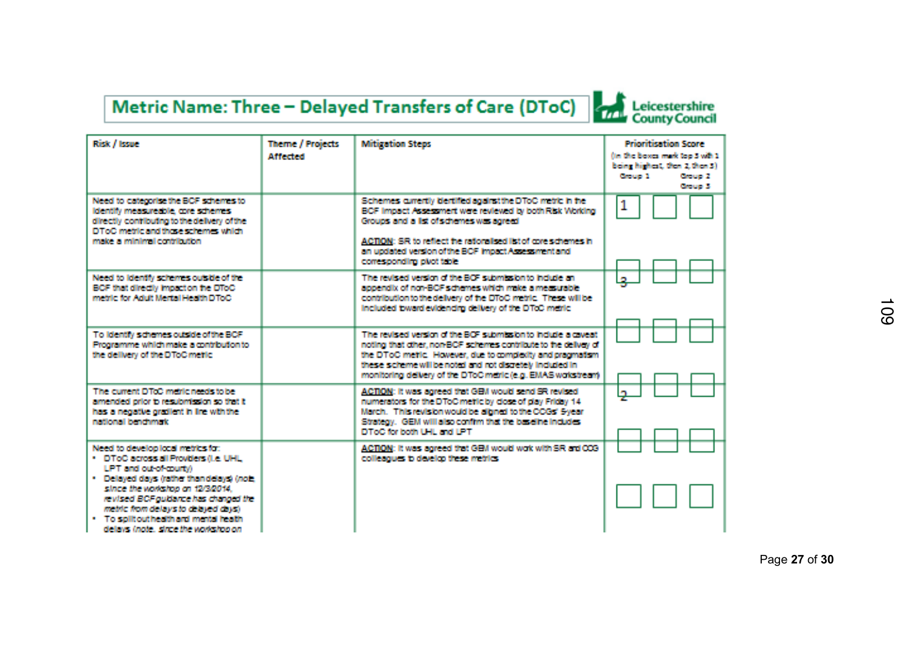# Metric Name: Three - Delayed Transfers of Care (DToC)

| Risk / Issue                                                                                                                                                                                                                                                                                                                                             | <b>Theme / Projects</b><br><b>Affrotred</b> | <b>Mitigation Steps</b>                                                                                                                                                                                                                                                                                                   | Princitication Score<br>fter the boxes mark too 3 with 1.<br>being highest, then 2, then 31<br><b>Croup 1</b><br><b>Croup 2</b><br><b>Course</b> 31 |
|----------------------------------------------------------------------------------------------------------------------------------------------------------------------------------------------------------------------------------------------------------------------------------------------------------------------------------------------------------|---------------------------------------------|---------------------------------------------------------------------------------------------------------------------------------------------------------------------------------------------------------------------------------------------------------------------------------------------------------------------------|-----------------------------------------------------------------------------------------------------------------------------------------------------|
| Need to categorise the BCF schemes to<br>identify measureable, core schemes<br>directly confibuting to the delivery of the<br>DToC rothic and fluxe schemes which<br>make a minimal contribution.                                                                                                                                                        |                                             | Schemes currently identified against the DToC metric in the<br>BCF Impact Assessment were reviewed by both Risk Working<br>Groups and a list of schemes was agreed<br>ACTION: SR to reflect the rationalised list of core schemes in<br>an updated version of the BCF impact Assessment and<br>corresponding plact table  | 1                                                                                                                                                   |
| Need to identify schemes outside of the<br>BCF that directly impact on the DToC<br>metric for Adult Mental Health DToC                                                                                                                                                                                                                                   |                                             | The revised version of the BOF submission to include an<br>appendix of non-BCF schemes which make a measurable<br>contribution to the delivery of the DToC metric. These will be<br>Included bward evidencing delivery of the DTcC middle                                                                                 | l se                                                                                                                                                |
| To identify schemes outside of the BCF<br>Programme which make a contribution to<br>the delivery of the DToC mette.                                                                                                                                                                                                                                      |                                             | The nativel weden of the RCE submission in fute a musati-<br>noting that other, non-BCF schemes contribute to the delivey of<br>the DToC metle. However, due to complectly and pragmatism.<br>these scheme will be noted and not discretely included in-<br>monitoring delivery of the DToC metric (e.g. EMAS workstream) |                                                                                                                                                     |
| The current DTcC metric needs to be<br>amended orior to resubmission so that it<br>has a negative gradient in line with the<br>nothered heartwood:                                                                                                                                                                                                       |                                             | ACTION: It was agreed that GEM would send SR revised.<br>numerators for the DToC metic by close of day Friday 14.<br>March. This revision would be alloned to the CCGs' Syear.<br>Strategy. GEM will also confirm that the baseline includes.<br>DToC for both UHL and LPT.                                               | ×,                                                                                                                                                  |
| Need to develop local metrics for:<br>. DToC across all Providers (i.e. UHL)<br>LET and out-of-murbo.<br>. Delayed days (rather than delays) (note)<br>since the workshop on 12/3/2014.<br>revised BCF outlance has changed the<br>metric from delays to detried days).<br>. To solit outhealth and mental health<br>delays incle, since the workshop on |                                             | ACTION: It was agreed that GEM would wok with SR ard CCS<br>colleagues to develop these metrics.                                                                                                                                                                                                                          |                                                                                                                                                     |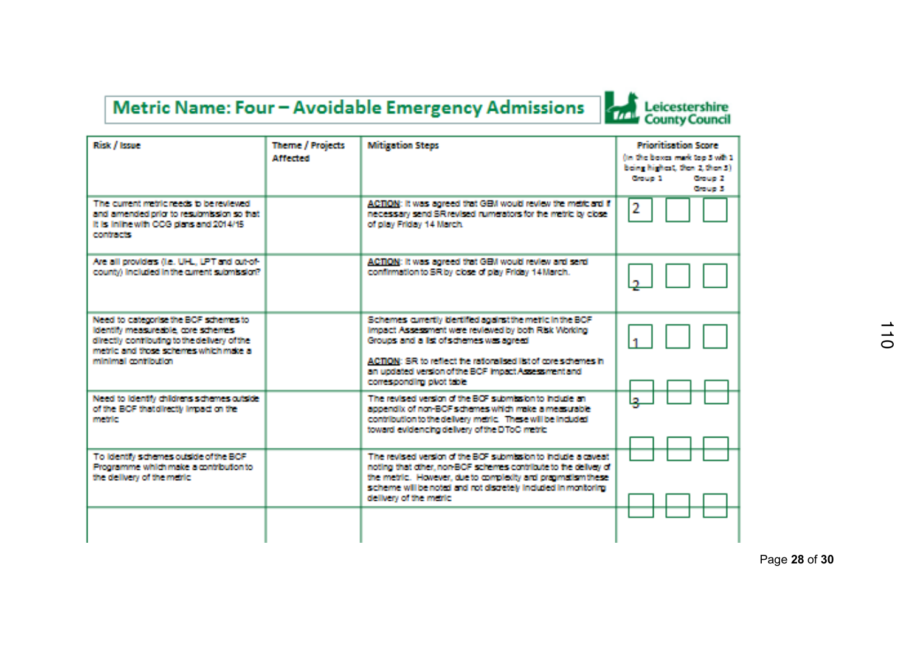## Metric Name: Four - Avoidable Emergency Admissions



| Risk / Issue                                                                                                                                                                                | Theme / Projects<br><b>Affreted</b> | <b>Mitigation Steps</b>                                                                                                                                                                                                                                                                                              | Group 1 | <b>Prioritisation Score</b><br>fter the boxes mark too 5 with 1<br>being highest, then 2, then 3)<br><b>Crous 2</b><br>Course 31 |
|---------------------------------------------------------------------------------------------------------------------------------------------------------------------------------------------|-------------------------------------|----------------------------------------------------------------------------------------------------------------------------------------------------------------------------------------------------------------------------------------------------------------------------------------------------------------------|---------|----------------------------------------------------------------------------------------------------------------------------------|
| The current metric needs to be reviewed.<br>and amended origins resultmission so that<br>It is inlinewith CCG dans and 2014/15<br>constructs.                                               |                                     | ACTION: It was agreed that GEM would review the metic and if<br>necessary send SR revised numerators for the metric by close.<br>of play Friday 14 March.                                                                                                                                                            | 2       |                                                                                                                                  |
| Are all provides (i.e., UHL, UPT and cut-of-<br>county) included in the current submission?                                                                                                 |                                     | ACTION: It was agreed that GEM would review and send<br>confirmation to SR by close of play Friday 14 March.                                                                                                                                                                                                         |         |                                                                                                                                  |
| Need to categorise the BCF schemes to<br>identify measureable, core schemes.<br>directly confibuting to the delivery of the<br>metric and those schemes which make a<br>minimal motificilm. |                                     | Schemes currently tientified against the metic in the BCF<br>Impact Assessment were reviewed by both Risk Working<br>Groups and a list of schemes was agreed.<br>ACTION: SR to reflect the rationalised list of core schemes in<br>an undated version of the BCF impact Assessment and<br>corresponding plact table. |         |                                                                                                                                  |
| Need to identify childrens schemes outside.<br>of the BCF that directly innect on the<br>me trier.                                                                                          |                                     | The revised version of the BCF submission to include an<br>appendix of non-BCF schemes which make a measurable<br>contribution to the delivery marke. These will be included<br>toward evidencing delivery of the DToC metric.                                                                                       | ے ا     |                                                                                                                                  |
| To identify schemes outside of the BCF<br>Programme which make a contribution to<br>the delivery of the metric.                                                                             |                                     | The revised version of the BCF submission to include a caveat.<br>noting that other, non-BCF schemes contribute to the deliver of<br>the metric. However, due to complexity and pragmatism these<br>scheme will be noted and not discretely included in monitoring.<br>delivery of the metric.                       |         |                                                                                                                                  |

Page **28** of **30**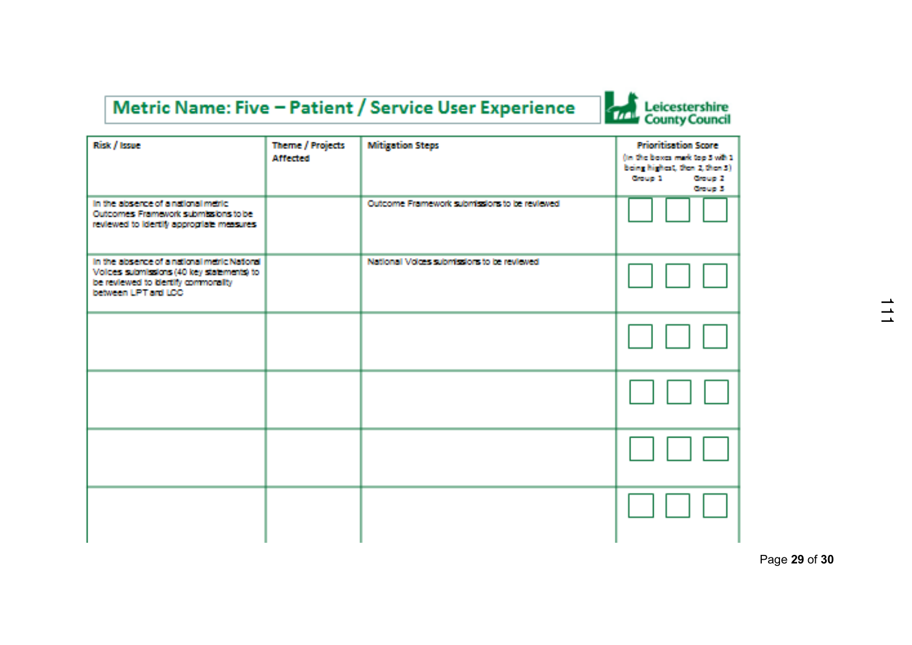## Metric Name: Five - Patient / Service User Experience



| Risk / Issue                                                                                                                                            | <b>Theme / Projects</b><br><b>Affected</b> | <b>Mitigation Steps</b>                       | <b>Prioritisation Score</b><br>(in the boxes mark top 5 with 1<br>being highest, then 2, then 3)<br><b>County 1</b><br><b>Brouge 2:</b><br><b>Broup 3</b> |
|---------------------------------------------------------------------------------------------------------------------------------------------------------|--------------------------------------------|-----------------------------------------------|-----------------------------------------------------------------------------------------------------------------------------------------------------------|
| In the absence of a national metric.<br><b>Outcomes Framework submissions to be</b><br>reviewed to identify appropriate measures.                       |                                            | Outcome Framework submissions to be reviewed. |                                                                                                                                                           |
| In the absence of a national metric National<br>Volces submissions (40 key statements) to<br>be reviewed to identify commonsity<br>between LPT and LCC. |                                            | National Voices submissions to be reviewed.   |                                                                                                                                                           |
|                                                                                                                                                         |                                            |                                               |                                                                                                                                                           |
|                                                                                                                                                         |                                            |                                               |                                                                                                                                                           |
|                                                                                                                                                         |                                            |                                               |                                                                                                                                                           |
|                                                                                                                                                         |                                            |                                               |                                                                                                                                                           |

Page **29** of **30**